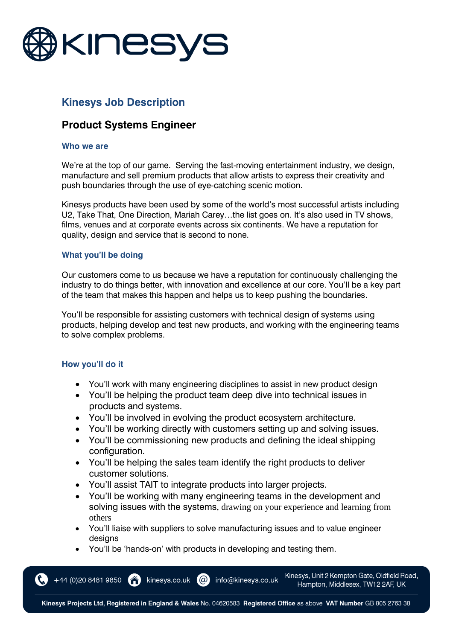

# **Kinesys Job Description**

# **Product Systems Engineer**

#### **Who we are**

We're at the top of our game. Serving the fast-moving entertainment industry, we design, manufacture and sell premium products that allow artists to express their creativity and push boundaries through the use of eye-catching scenic motion.

Kinesys products have been used by some of the world's most successful artists including U2, Take That, One Direction, Mariah Carey…the list goes on. It's also used in TV shows, films, venues and at corporate events across six continents. We have a reputation for quality, design and service that is second to none.

#### **What you'll be doing**

Our customers come to us because we have a reputation for continuously challenging the industry to do things better, with innovation and excellence at our core. You'll be a key part of the team that makes this happen and helps us to keep pushing the boundaries.

You'll be responsible for assisting customers with technical design of systems using products, helping develop and test new products, and working with the engineering teams to solve complex problems.

### **How you'll do it**

- You'll work with many engineering disciplines to assist in new product design
- You'll be helping the product team deep dive into technical issues in products and systems.
- You'll be involved in evolving the product ecosystem architecture.
- You'll be working directly with customers setting up and solving issues.
- You'll be commissioning new products and defining the ideal shipping configuration.
- You'll be helping the sales team identify the right products to deliver customer solutions.
- You'll assist TAIT to integrate products into larger projects.
- You'll be working with many engineering teams in the development and solving issues with the systems, drawing on your experience and learning from others
- You'll liaise with suppliers to solve manufacturing issues and to value engineer designs
- You'll be 'hands-on' with products in developing and testing them.

 $(a)$ 

kinesys.co.uk

+44 (0)20 8481 9850

Kinesys, Unit 2 Kempton Gate, Oldfield Road, Hampton, Middlesex, TW12 2AF, UK

Kinesys Projects Ltd, Registered in England & Wales No. 04620583 Registered Office as above VAT Number GB 805 2763 38

info@kinesys.co.uk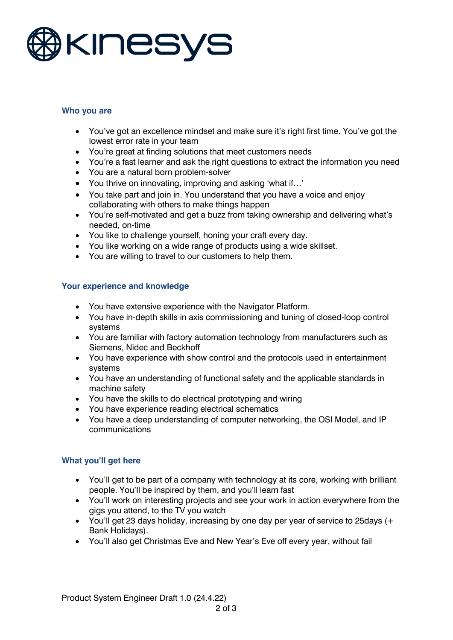

### **Who you are**

- You've got an excellence mindset and make sure it's right first time. You've got the lowest error rate in your team
- You're great at finding solutions that meet customers needs
- You're a fast learner and ask the right questions to extract the information you need
- You are a natural born problem-solver
- You thrive on innovating, improving and asking 'what if…'
- You take part and join in. You understand that you have a voice and enjoy collaborating with others to make things happen
- You're self-motivated and get a buzz from taking ownership and delivering what's needed, on-time
- You like to challenge yourself, honing your craft every day.
- You like working on a wide range of products using a wide skillset.
- You are willing to travel to our customers to help them.

### **Your experience and knowledge**

- You have extensive experience with the Navigator Platform.
- You have in-depth skills in axis commissioning and tuning of closed-loop control systems
- You are familiar with factory automation technology from manufacturers such as Siemens, Nidec and Beckhoff
- You have experience with show control and the protocols used in entertainment systems
- You have an understanding of functional safety and the applicable standards in machine safety
- You have the skills to do electrical prototyping and wiring
- You have experience reading electrical schematics
- You have a deep understanding of computer networking, the OSI Model, and IP communications

### **What you'll get here**

- You'll get to be part of a company with technology at its core, working with brilliant people. You'll be inspired by them, and you'll learn fast
- You'll work on interesting projects and see your work in action everywhere from the gigs you attend, to the TV you watch
- You'll get 23 days holiday, increasing by one day per year of service to 25days (+ Bank Holidays).
- You'll also get Christmas Eve and New Year's Eve off every year, without fail